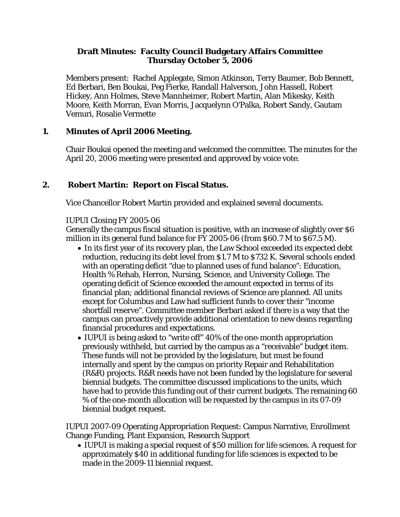### **Draft Minutes: Faculty Council Budgetary Affairs Committee Thursday October 5, 2006**

Members present: Rachel Applegate, Simon Atkinson, Terry Baumer, Bob Bennett, Ed Berbari, Ben Boukai, Peg Fierke, Randall Halverson, John Hassell, Robert Hickey, Ann Holmes, Steve Mannheimer, Robert Martin, Alan Mikesky, Keith Moore, Keith Morran, Evan Morris, Jacquelynn O'Palka, Robert Sandy, Gautam Vemuri, Rosalie Vermette

### **1. Minutes of April 2006 Meeting.**

Chair Boukai opened the meeting and welcomed the committee. The minutes for the April 20, 2006 meeting were presented and approved by voice vote.

## **2. Robert Martin: Report on Fiscal Status.**

Vice Chancellor Robert Martin provided and explained several documents.

#### IUPUI Closing FY 2005-06

Generally the campus fiscal situation is positive, with an increase of slightly over \$6 million in its general fund balance for FY 2005-06 (from \$60.7 M to \$67.5 M).

- In its first year of its recovery plan, the Law School exceeded its expected debt reduction, reducing its debt level from \$1.7 M to \$732 K. Several schools ended with an operating deficit "due to planned uses of fund balance": Education, Health % Rehab, Herron, Nursing, Science, and University College. The operating deficit of Science exceeded the amount expected in terms of its financial plan; additional financial reviews of Science are planned. All units except for Columbus and Law had sufficient funds to cover their "income shortfall reserve". Committee member Berbari asked if there is a way that the campus can proactively provide additional orientation to new deans regarding financial procedures and expectations.
- IUPUI is being asked to "write off" 40% of the one-month appropriation previously withheld, but carried by the campus as a "receivable" budget item. These funds will not be provided by the legislature, but must be found internally and spent by the campus on priority Repair and Rehabilitation (R&R) projects. R&R needs have not been funded by the legislature for several biennial budgets. The committee discussed implications to the units, which have had to provide this funding out of their current budgets. The remaining 60 % of the one-month allocation will be requested by the campus in its 07-09 biennial budget request.

IUPUI 2007-09 Operating Appropriation Request: Campus Narrative, Enrollment Change Funding, Plant Expansion, Research Support

• IUPUI is making a special request of \$50 million for life sciences. A request for approximately \$40 in additional funding for life sciences is expected to be made in the 2009-11 biennial request.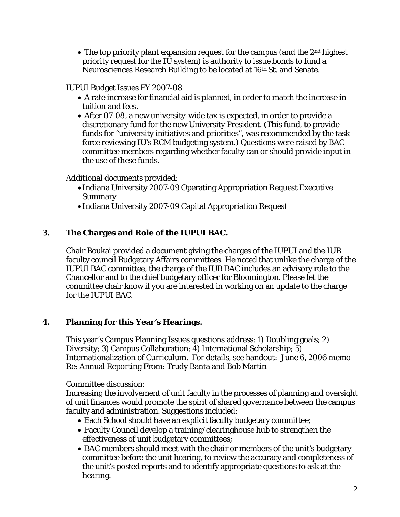• The top priority plant expansion request for the campus (and the 2<sup>nd</sup> highest priority request for the IU system) is authority to issue bonds to fund a Neurosciences Research Building to be located at 16th St. and Senate.

IUPUI Budget Issues FY 2007-08

- A rate increase for financial aid is planned, in order to match the increase in tuition and fees.
- After 07-08, a new university-wide tax is expected, in order to provide a discretionary fund for the new University President. (This fund, to provide funds for "university initiatives and priorities", was recommended by the task force reviewing IU's RCM budgeting system.) Questions were raised by BAC committee members regarding whether faculty can or should provide input in the use of these funds.

Additional documents provided:

- Indiana University 2007-09 Operating Appropriation Request Executive Summary
- Indiana University 2007-09 Capital Appropriation Request

# **3. The Charges and Role of the IUPUI BAC.**

Chair Boukai provided a document giving the charges of the IUPUI and the IUB faculty council Budgetary Affairs committees. He noted that unlike the charge of the IUPUI BAC committee, the charge of the IUB BAC includes an advisory role to the Chancellor and to the chief budgetary officer for Bloomington. Please let the committee chair know if you are interested in working on an update to the charge for the IUPUI BAC.

# **4. Planning for this Year's Hearings.**

This year's Campus Planning Issues questions address: 1) Doubling goals; 2) Diversity; 3) Campus Collaboration; 4) International Scholarship; 5) Internationalization of Curriculum. For details, see handout: June 6, 2006 memo Re: Annual Reporting From: Trudy Banta and Bob Martin

Committee discussion:

Increasing the involvement of unit faculty in the processes of planning and oversight of unit finances would promote the spirit of shared governance between the campus faculty and administration. Suggestions included:

- Each School should have an explicit faculty budgetary committee;
- Faculty Council develop a training/clearinghouse hub to strengthen the effectiveness of unit budgetary committees;
- BAC members should meet with the chair or members of the unit's budgetary committee before the unit hearing, to review the accuracy and completeness of the unit's posted reports and to identify appropriate questions to ask at the hearing.